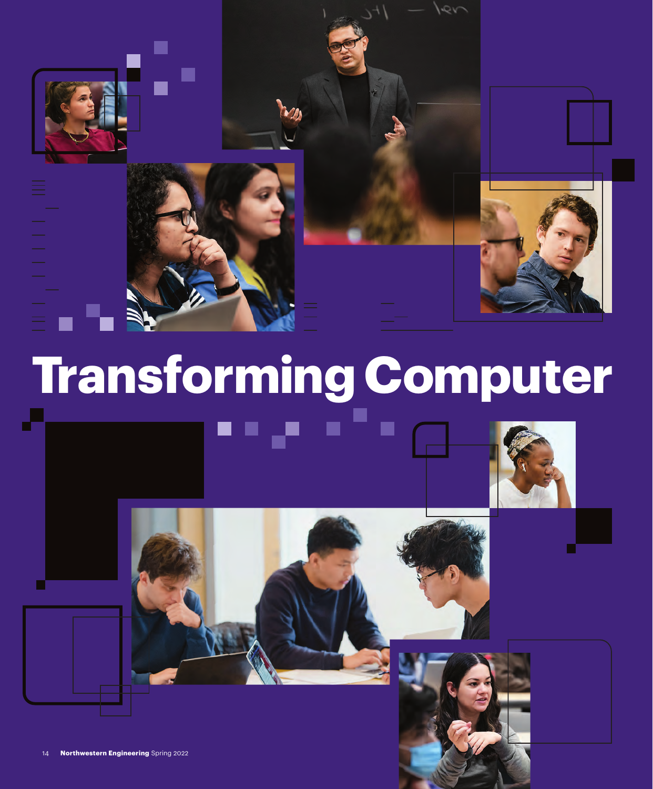

# **Transforming Computer**

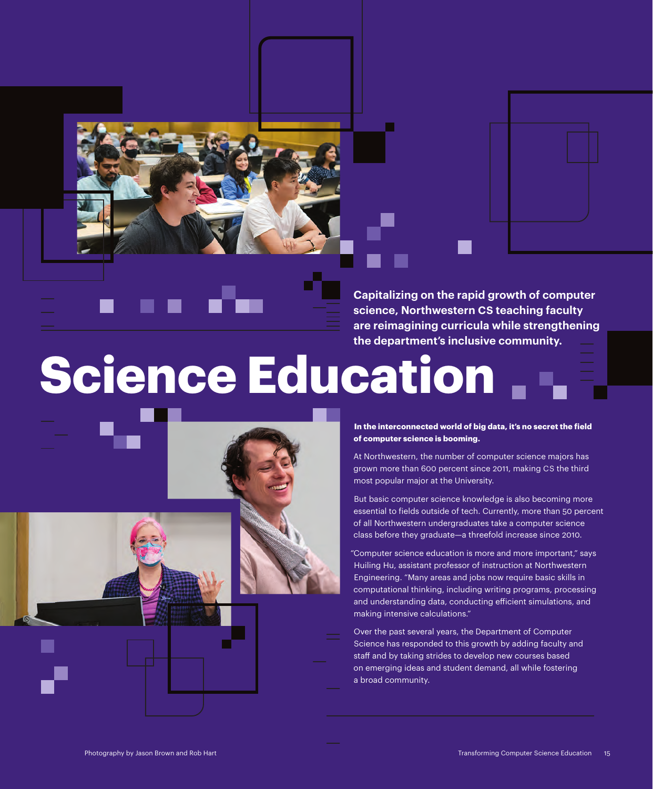



**Capitalizing on the rapid growth of computer science, Northwestern CS teaching faculty are reimagining curricula while strengthening the department's inclusive community.**

# **Science Education**



**In the interconnected world of big data, it's no secret the field of computer science is booming.**

At Northwestern, the number of computer science majors has grown more than 600 percent since 2011, making CS the third most popular major at the University.

But basic computer science knowledge is also becoming more essential to fields outside of tech. Currently, more than 50 percent of all Northwestern undergraduates take a computer science class before they graduate—a threefold increase since 2010.

"Computer science education is more and more important," says Huiling Hu, assistant professor of instruction at Northwestern Engineering. "Many areas and jobs now require basic skills in computational thinking, including writing programs, processing and understanding data, conducting efficient simulations, and making intensive calculations."

Over the past several years, the Department of Computer Science has responded to this growth by adding faculty and staff and by taking strides to develop new courses based on emerging ideas and student demand, all while fostering a broad community.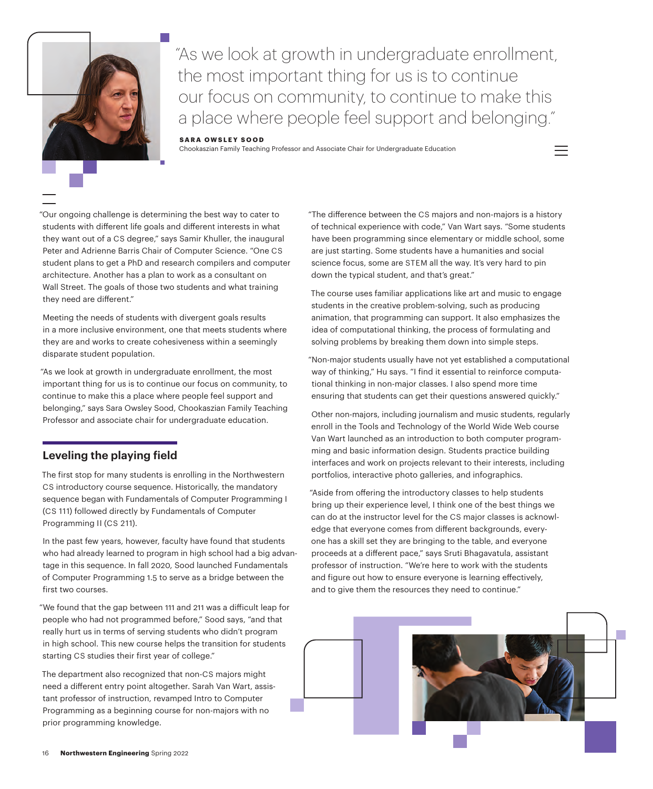

"As we look at growth in undergraduate enrollment, the most important thing for us is to continue our focus on community, to continue to make this a place where people feel support and belonging."

#### **SARA OWSLEY SOOD**

Chookaszian Family Teaching Professor and Associate Chair for Undergraduate Education

"Our ongoing challenge is determining the best way to cater to students with different life goals and different interests in what they want out of a CS degree," says Samir Khuller, the inaugural Peter and Adrienne Barris Chair of Computer Science. "One CS student plans to get a PhD and research compilers and computer architecture. Another has a plan to work as a consultant on Wall Street. The goals of those two students and what training they need are different."

Meeting the needs of students with divergent goals results in a more inclusive environment, one that meets students where they are and works to create cohesiveness within a seemingly disparate student population.

 "As we look at growth in undergraduate enrollment, the most important thing for us is to continue our focus on community, to continue to make this a place where people feel support and belonging," says Sara Owsley Sood, Chookaszian Family Teaching Professor and associate chair for undergraduate education.

## **Leveling the playing field**

The first stop for many students is enrolling in the Northwestern CS introductory course sequence. Historically, the mandatory sequence began with Fundamentals of Computer Programming I (CS 111) followed directly by Fundamentals of Computer Programming II (CS 211).

In the past few years, however, faculty have found that students who had already learned to program in high school had a big advantage in this sequence. In fall 2020, Sood launched Fundamentals of Computer Programming 1.5 to serve as a bridge between the first two courses.

"We found that the gap between 111 and 211 was a difficult leap for people who had not programmed before," Sood says, "and that really hurt us in terms of serving students who didn't program in high school. This new course helps the transition for students starting CS studies their first year of college."

The department also recognized that non-CS majors might need a different entry point altogether. Sarah Van Wart, assistant professor of instruction, revamped Intro to Computer Programming as a beginning course for non-majors with no prior programming knowledge.

"The difference between the CS majors and non-majors is a history of technical experience with code," Van Wart says. "Some students have been programming since elementary or middle school, some are just starting. Some students have a humanities and social science focus, some are STEM all the way. It's very hard to pin down the typical student, and that's great."

The course uses familiar applications like art and music to engage students in the creative problem-solving, such as producing animation, that programming can support. It also emphasizes the idea of computational thinking, the process of formulating and solving problems by breaking them down into simple steps.

"Non-major students usually have not yet established a computational way of thinking," Hu says. "I find it essential to reinforce computational thinking in non-major classes. I also spend more time ensuring that students can get their questions answered quickly."

Other non-majors, including journalism and music students, regularly enroll in the Tools and Technology of the World Wide Web course Van Wart launched as an introduction to both computer programming and basic information design. Students practice building interfaces and work on projects relevant to their interests, including portfolios, interactive photo galleries, and infographics.

 "Aside from offering the introductory classes to help students bring up their experience level, I think one of the best things we can do at the instructor level for the CS major classes is acknowledge that everyone comes from different backgrounds, everyone has a skill set they are bringing to the table, and everyone proceeds at a different pace," says Sruti Bhagavatula, assistant professor of instruction. "We're here to work with the students and figure out how to ensure everyone is learning effectively, and to give them the resources they need to continue."



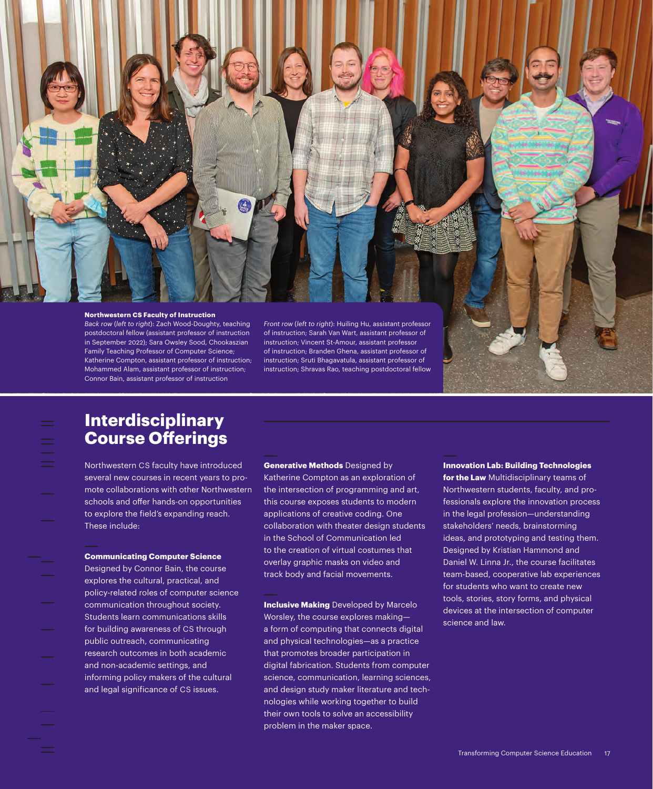

postdoctoral fellow (assistant professor of instruction in September 2022); Sara Owsley Sood, Chookaszian Family Teaching Professor of Computer Science; Katherine Compton, assistant professor of instruction; Mohammed Alam, assistant professor of instruction; Connor Bain, assistant professor of instruction

of instruction; Sarah Van Wart, assistant professor of instruction; Vincent St-Amour, assistant professor of instruction; Branden Ghena, assistant professor of instruction; Sruti Bhagavatula, assistant professor of instruction; Shravas Rao, teaching postdoctoral fellow

## **Interdisciplinary Course Offerings**

Northwestern CS faculty have introduced several new courses in recent years to promote collaborations with other Northwestern schools and offer hands-on opportunities to explore the field's expanding reach. These include:

### **Communicating Computer Science**

Designed by Connor Bain, the course explores the cultural, practical, and policy-related roles of computer science communication throughout society. Students learn communications skills for building awareness of CS through public outreach, communicating research outcomes in both academic and non-academic settings, and informing policy makers of the cultural and legal significance of CS issues.

### **Generative Methods** Designed by

Katherine Compton as an exploration of the intersection of programming and art, this course exposes students to modern applications of creative coding. One collaboration with theater design students in the School of Communication led to the creation of virtual costumes that overlay graphic masks on video and track body and facial movements.

**Inclusive Making** Developed by Marcelo Worsley, the course explores making a form of computing that connects digital and physical technologies—as a practice that promotes broader participation in digital fabrication. Students from computer science, communication, learning sciences, and design study maker literature and technologies while working together to build their own tools to solve an accessibility problem in the maker space.

**Innovation Lab: Building Technologies for the Law** Multidisciplinary teams of Northwestern students, faculty, and professionals explore the innovation process in the legal profession—understanding stakeholders' needs, brainstorming ideas, and prototyping and testing them. Designed by Kristian Hammond and Daniel W. Linna Jr., the course facilitates team-based, cooperative lab experiences for students who want to create new tools, stories, story forms, and physical devices at the intersection of computer science and law.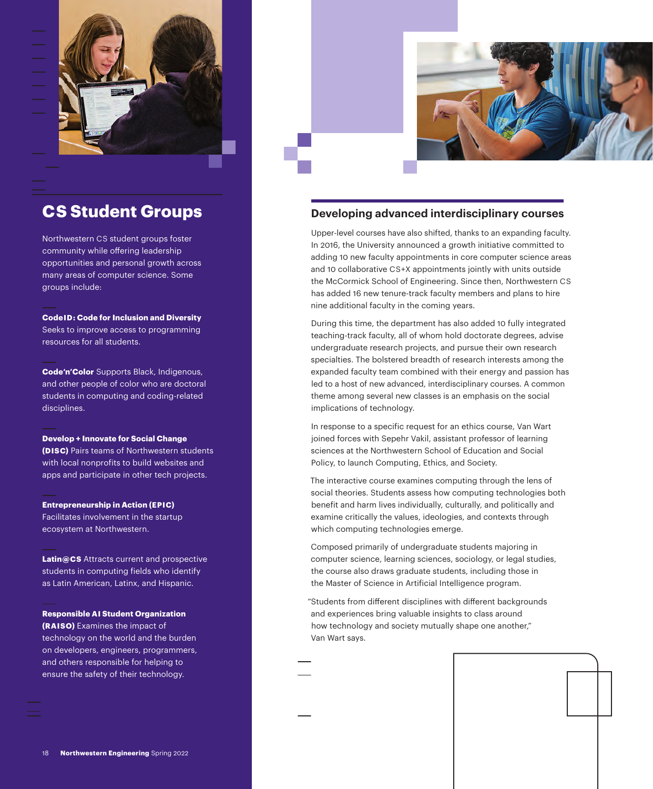

# **CS Student Groups**

Northwestern CS student groups foster community while offering leadership opportunities and personal growth across many areas of computer science. Some groups include:

**CodeID: Code for Inclusion and Diversity** Seeks to improve access to programming resources for all students.

**Code'n'Color** Supports Black, Indigenous, and other people of color who are doctoral students in computing and coding-related disciplines.

#### **Develop + Innovate for Social Change**

**(DISC)** Pairs teams of Northwestern students with local nonprofits to build websites and apps and participate in other tech projects.

**Entrepreneurship in Action (EPIC)**

Facilitates involvement in the startup ecosystem at Northwestern.

**Latin@CS** Attracts current and prospective students in computing fields who identify as Latin American, Latinx, and Hispanic.

**Responsible AI Student Organization (RAISO)** Examines the impact of technology on the world and the burden on developers, engineers, programmers, and others responsible for helping to ensure the safety of their technology.



### **Developing advanced interdisciplinary courses**

Upper-level courses have also shifted, thanks to an expanding faculty. In 2016, the University announced a growth initiative committed to adding 10 new faculty appointments in core computer science areas and 10 collaborative CS+X appointments jointly with units outside the McCormick School of Engineering. Since then, Northwestern CS has added 16 new tenure-track faculty members and plans to hire nine additional faculty in the coming years.

During this time, the department has also added 10 fully integrated teaching-track faculty, all of whom hold doctorate degrees, advise undergraduate research projects, and pursue their own research specialties. The bolstered breadth of research interests among the expanded faculty team combined with their energy and passion has led to a host of new advanced, interdisciplinary courses. A common theme among several new classes is an emphasis on the social implications of technology.

In response to a specific request for an ethics course, Van Wart joined forces with Sepehr Vakil, assistant professor of learning sciences at the Northwestern School of Education and Social Policy, to launch Computing, Ethics, and Society.

The interactive course examines computing through the lens of social theories. Students assess how computing technologies both benefit and harm lives individually, culturally, and politically and examine critically the values, ideologies, and contexts through which computing technologies emerge.

Composed primarily of undergraduate students majoring in computer science, learning sciences, sociology, or legal studies, the course also draws graduate students, including those in the Master of Science in Artificial Intelligence program.

"Students from different disciplines with different backgrounds and experiences bring valuable insights to class around how technology and society mutually shape one another," Van Wart says.